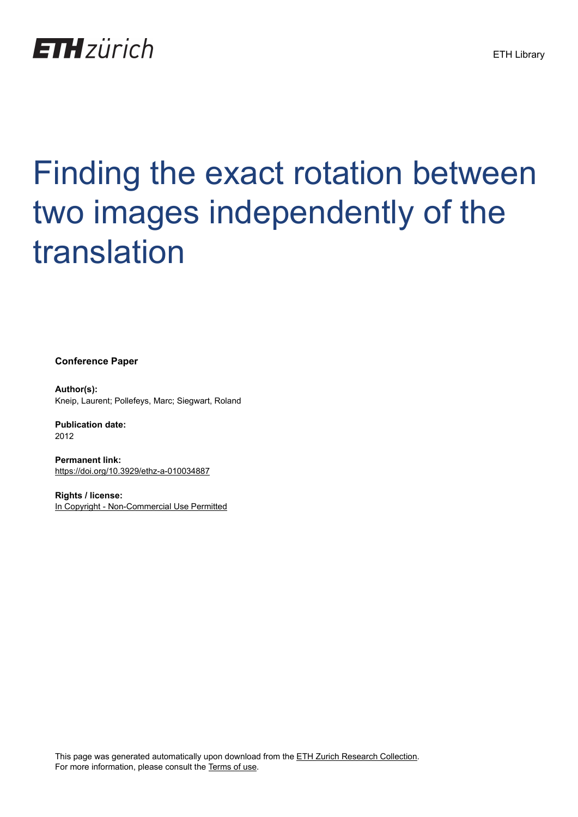

# Finding the exact rotation between two images independently of the translation

**Conference Paper**

**Author(s):** Kneip, Laurent; Pollefeys, Marc; Siegwart, Roland

**Publication date:** 2012

**Permanent link:** <https://doi.org/10.3929/ethz-a-010034887>

**Rights / license:** [In Copyright - Non-Commercial Use Permitted](http://rightsstatements.org/page/InC-NC/1.0/)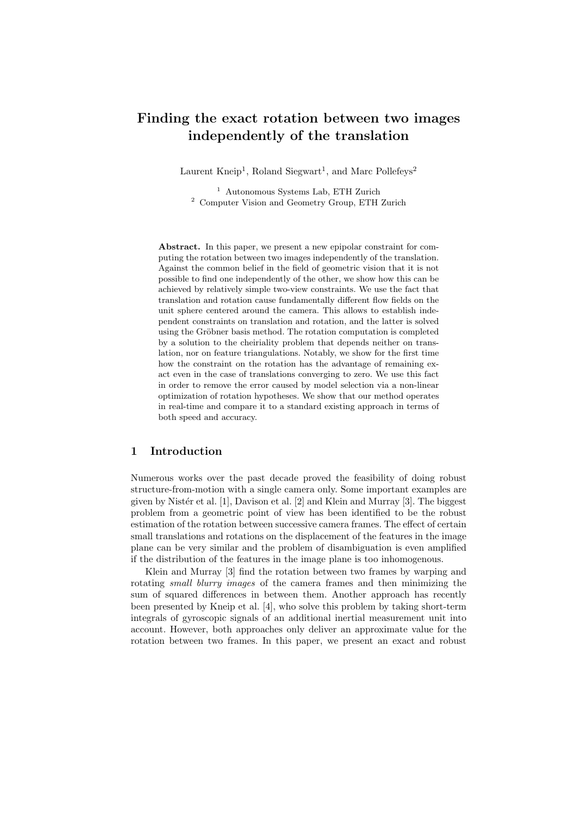## Finding the exact rotation between two images independently of the translation

Laurent Kneip<sup>1</sup>, Roland Siegwart<sup>1</sup>, and Marc Pollefeys<sup>2</sup>

<sup>1</sup> Autonomous Systems Lab, ETH Zurich <sup>2</sup> Computer Vision and Geometry Group, ETH Zurich

Abstract. In this paper, we present a new epipolar constraint for computing the rotation between two images independently of the translation. Against the common belief in the field of geometric vision that it is not possible to find one independently of the other, we show how this can be achieved by relatively simple two-view constraints. We use the fact that translation and rotation cause fundamentally different flow fields on the unit sphere centered around the camera. This allows to establish independent constraints on translation and rotation, and the latter is solved using the Gröbner basis method. The rotation computation is completed by a solution to the cheiriality problem that depends neither on translation, nor on feature triangulations. Notably, we show for the first time how the constraint on the rotation has the advantage of remaining exact even in the case of translations converging to zero. We use this fact in order to remove the error caused by model selection via a non-linear optimization of rotation hypotheses. We show that our method operates in real-time and compare it to a standard existing approach in terms of both speed and accuracy.

## 1 Introduction

Numerous works over the past decade proved the feasibility of doing robust structure-from-motion with a single camera only. Some important examples are given by Nistér et al.  $[1]$ , Davison et al.  $[2]$  and Klein and Murray  $[3]$ . The biggest problem from a geometric point of view has been identified to be the robust estimation of the rotation between successive camera frames. The effect of certain small translations and rotations on the displacement of the features in the image plane can be very similar and the problem of disambiguation is even amplified if the distribution of the features in the image plane is too inhomogenous.

Klein and Murray [3] find the rotation between two frames by warping and rotating small blurry images of the camera frames and then minimizing the sum of squared differences in between them. Another approach has recently been presented by Kneip et al. [4], who solve this problem by taking short-term integrals of gyroscopic signals of an additional inertial measurement unit into account. However, both approaches only deliver an approximate value for the rotation between two frames. In this paper, we present an exact and robust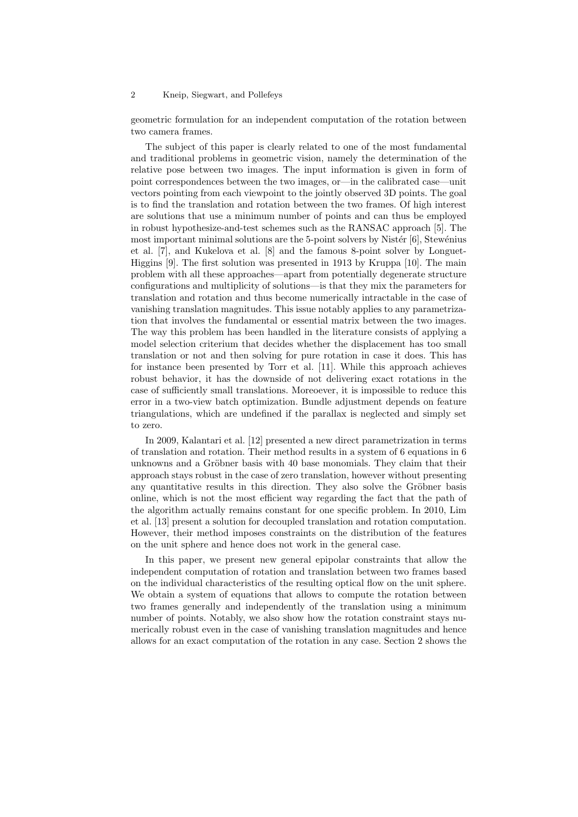geometric formulation for an independent computation of the rotation between two camera frames.

The subject of this paper is clearly related to one of the most fundamental and traditional problems in geometric vision, namely the determination of the relative pose between two images. The input information is given in form of point correspondences between the two images, or—in the calibrated case—unit vectors pointing from each viewpoint to the jointly observed 3D points. The goal is to find the translation and rotation between the two frames. Of high interest are solutions that use a minimum number of points and can thus be employed in robust hypothesize-and-test schemes such as the RANSAC approach [5]. The most important minimal solutions are the  $5$ -point solvers by Nistér  $[6]$ , Stewénius et al. [7], and Kukelova et al. [8] and the famous 8-point solver by Longuet-Higgins [9]. The first solution was presented in 1913 by Kruppa [10]. The main problem with all these approaches—apart from potentially degenerate structure configurations and multiplicity of solutions—is that they mix the parameters for translation and rotation and thus become numerically intractable in the case of vanishing translation magnitudes. This issue notably applies to any parametrization that involves the fundamental or essential matrix between the two images. The way this problem has been handled in the literature consists of applying a model selection criterium that decides whether the displacement has too small translation or not and then solving for pure rotation in case it does. This has for instance been presented by Torr et al. [11]. While this approach achieves robust behavior, it has the downside of not delivering exact rotations in the case of sufficiently small translations. Moreoever, it is impossible to reduce this error in a two-view batch optimization. Bundle adjustment depends on feature triangulations, which are undefined if the parallax is neglected and simply set to zero.

In 2009, Kalantari et al. [12] presented a new direct parametrization in terms of translation and rotation. Their method results in a system of 6 equations in 6 unknowns and a Gröbner basis with 40 base monomials. They claim that their approach stays robust in the case of zero translation, however without presenting any quantitative results in this direction. They also solve the Gröbner basis online, which is not the most efficient way regarding the fact that the path of the algorithm actually remains constant for one specific problem. In 2010, Lim et al. [13] present a solution for decoupled translation and rotation computation. However, their method imposes constraints on the distribution of the features on the unit sphere and hence does not work in the general case.

In this paper, we present new general epipolar constraints that allow the independent computation of rotation and translation between two frames based on the individual characteristics of the resulting optical flow on the unit sphere. We obtain a system of equations that allows to compute the rotation between two frames generally and independently of the translation using a minimum number of points. Notably, we also show how the rotation constraint stays numerically robust even in the case of vanishing translation magnitudes and hence allows for an exact computation of the rotation in any case. Section 2 shows the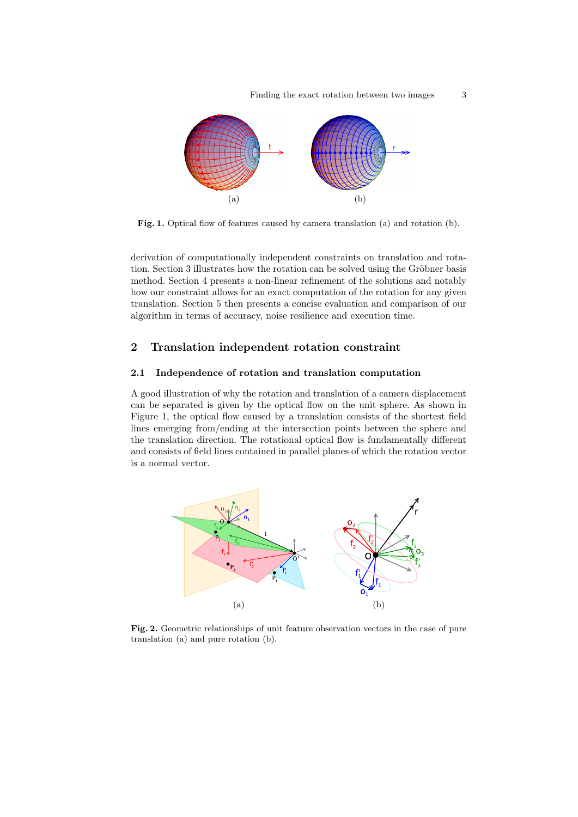Finding the exact rotation between two images 3



Fig. 1. Optical flow of features caused by camera translation (a) and rotation (b).

derivation of computationally independent constraints on translation and rotation. Section 3 illustrates how the rotation can be solved using the Gröbner basis method. Section 4 presents a non-linear refinement of the solutions and notably how our constraint allows for an exact computation of the rotation for any given translation. Section 5 then presents a concise evaluation and comparison of our algorithm in terms of accuracy, noise resilience and execution time.

## 2 Translation independent rotation constraint

#### 2.1 Independence of rotation and translation computation

A good illustration of why the rotation and translation of a camera displacement can be separated is given by the optical flow on the unit sphere. As shown in Figure 1, the optical flow caused by a translation consists of the shortest field lines emerging from/ending at the intersection points between the sphere and the translation direction. The rotational optical flow is fundamentally different and consists of field lines contained in parallel planes of which the rotation vector is a normal vector.



Fig. 2. Geometric relationships of unit feature observation vectors in the case of pure translation (a) and pure rotation (b).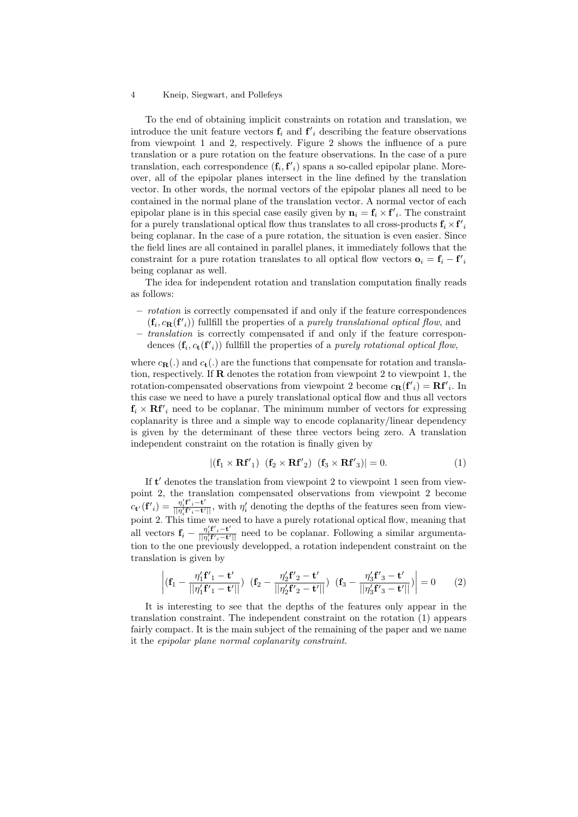To the end of obtaining implicit constraints on rotation and translation, we introduce the unit feature vectors  $f_i$  and  $f'_i$  describing the feature observations from viewpoint 1 and 2, respectively. Figure 2 shows the influence of a pure translation or a pure rotation on the feature observations. In the case of a pure translation, each correspondence  $(f_i, f'_i)$  spans a so-called epipolar plane. Moreover, all of the epipolar planes intersect in the line defined by the translation vector. In other words, the normal vectors of the epipolar planes all need to be contained in the normal plane of the translation vector. A normal vector of each epipolar plane is in this special case easily given by  $\mathbf{n}_i = \mathbf{f}_i \times \mathbf{f}'_i$ . The constraint for a purely translational optical flow thus translates to all cross-products  $\mathbf{f}_i \times \mathbf{f'}_i$ being coplanar. In the case of a pure rotation, the situation is even easier. Since the field lines are all contained in parallel planes, it immediately follows that the constraint for a pure rotation translates to all optical flow vectors  $\mathbf{o}_i = \mathbf{f}_i - \mathbf{f'}_i$ being coplanar as well.

The idea for independent rotation and translation computation finally reads as follows:

- rotation is correctly compensated if and only if the feature correspondences  $(f_i, c_{\mathbf{R}}(f'_i))$  fullfill the properties of a *purely translational optical flow*, and
- translation is correctly compensated if and only if the feature correspon-
- dences  $(f_i, c_t(f'_i))$  fullfill the properties of a *purely rotational optical flow*,

where  $c_{\mathbf{R}}(.)$  and  $c_{\mathbf{t}}(.)$  are the functions that compensate for rotation and translation, respectively. If  **denotes the rotation from viewpoint 2 to viewpoint 1, the** rotation-compensated observations from viewpoint 2 become  $c_{\mathbf{R}}(\mathbf{f'}_i) = \mathbf{R}\mathbf{f'}_i$ . In this case we need to have a purely translational optical flow and thus all vectors  $f_i \times \mathbf{R}f'_i$  need to be coplanar. The minimum number of vectors for expressing coplanarity is three and a simple way to encode coplanarity/linear dependency is given by the determinant of these three vectors being zero. A translation independent constraint on the rotation is finally given by

$$
|(\mathbf{f}_1 \times \mathbf{R} \mathbf{f'}_1) (\mathbf{f}_2 \times \mathbf{R} \mathbf{f'}_2) (\mathbf{f}_3 \times \mathbf{R} \mathbf{f'}_3)| = 0.
$$
 (1)

If  $t'$  denotes the translation from viewpoint 2 to viewpoint 1 seen from viewpoint 2, the translation compensated observations from viewpoint 2 become  $c_{\mathbf{t}'}(\mathbf{f'}_i) = \frac{\eta'_i \mathbf{f'}_i - \mathbf{t'}}{||\eta'|\mathbf{f'}_i - \mathbf{t'}|}$  $\frac{\eta_i^r \mathbf{f}'_i - \mathbf{t}'}{||\eta_i^r \mathbf{f}'_i - \mathbf{t}'||}$ , with  $\eta_i^l$  denoting the depths of the features seen from viewpoint 2. This time we need to have a purely rotational optical flow, meaning that all vectors  $\mathbf{f}_i = \frac{\eta'_i \mathbf{f'}_i - \mathbf{t'}}{\|\eta'_{i}\mathbf{f'}_i - \mathbf{t'}\|_1}$  $\frac{\eta_i \mathbf{I}_{i} - \mathbf{t}}{||\eta_i' \mathbf{f}' \cdot - \mathbf{t}'||}$  need to be coplanar. Following a similar argumentation to the one previously developped, a rotation independent constraint on the translation is given by

$$
\left| (\mathbf{f}_1 - \frac{\eta_1' \mathbf{f'}_1 - \mathbf{t'}}{||\eta_1' \mathbf{f'}_1 - \mathbf{t'}||}) (\mathbf{f}_2 - \frac{\eta_2' \mathbf{f'}_2 - \mathbf{t'}}{||\eta_2' \mathbf{f'}_2 - \mathbf{t'}||}) (\mathbf{f}_3 - \frac{\eta_3' \mathbf{f'}_3 - \mathbf{t'}}{||\eta_3' \mathbf{f'}_3 - \mathbf{t'}||}) \right| = 0
$$
 (2)

It is interesting to see that the depths of the features only appear in the translation constraint. The independent constraint on the rotation (1) appears fairly compact. It is the main subject of the remaining of the paper and we name it the epipolar plane normal coplanarity constraint.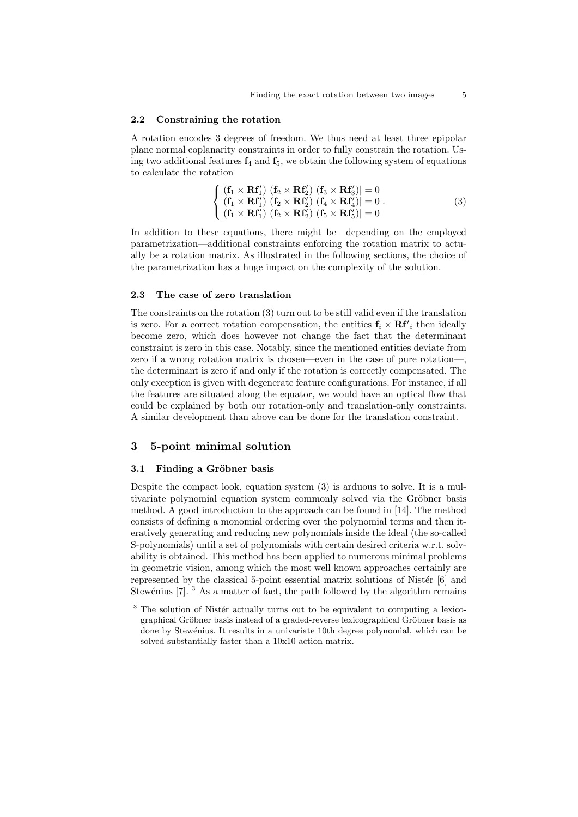#### 2.2 Constraining the rotation

A rotation encodes 3 degrees of freedom. We thus need at least three epipolar plane normal coplanarity constraints in order to fully constrain the rotation. Using two additional features  $f_4$  and  $f_5$ , we obtain the following system of equations to calculate the rotation

$$
\begin{cases}\n\left| \left( \mathbf{f}_1 \times \mathbf{R} \mathbf{f}_1' \right) \left( \mathbf{f}_2 \times \mathbf{R} \mathbf{f}_2' \right) \left( \mathbf{f}_3 \times \mathbf{R} \mathbf{f}_3' \right) \right| = 0 \\
\left| \left( \mathbf{f}_1 \times \mathbf{R} \mathbf{f}_1' \right) \left( \mathbf{f}_2 \times \mathbf{R} \mathbf{f}_2' \right) \left( \mathbf{f}_4 \times \mathbf{R} \mathbf{f}_4' \right) \right| = 0 \\
\left| \left( \mathbf{f}_1 \times \mathbf{R} \mathbf{f}_1' \right) \left( \mathbf{f}_2 \times \mathbf{R} \mathbf{f}_2' \right) \left( \mathbf{f}_5 \times \mathbf{R} \mathbf{f}_5' \right) \right| = 0\n\end{cases} \tag{3}
$$

In addition to these equations, there might be—depending on the employed parametrization—additional constraints enforcing the rotation matrix to actually be a rotation matrix. As illustrated in the following sections, the choice of the parametrization has a huge impact on the complexity of the solution.

#### 2.3 The case of zero translation

The constraints on the rotation (3) turn out to be still valid even if the translation is zero. For a correct rotation compensation, the entities  $f_i \times \mathbf{R}f'_i$  then ideally become zero, which does however not change the fact that the determinant constraint is zero in this case. Notably, since the mentioned entities deviate from zero if a wrong rotation matrix is chosen—even in the case of pure rotation—, the determinant is zero if and only if the rotation is correctly compensated. The only exception is given with degenerate feature configurations. For instance, if all the features are situated along the equator, we would have an optical flow that could be explained by both our rotation-only and translation-only constraints. A similar development than above can be done for the translation constraint.

## 3 5-point minimal solution

## 3.1 Finding a Gröbner basis

Despite the compact look, equation system (3) is arduous to solve. It is a multivariate polynomial equation system commonly solved via the Gröbner basis method. A good introduction to the approach can be found in [14]. The method consists of defining a monomial ordering over the polynomial terms and then iteratively generating and reducing new polynomials inside the ideal (the so-called S-polynomials) until a set of polynomials with certain desired criteria w.r.t. solvability is obtained. This method has been applied to numerous minimal problems in geometric vision, among which the most well known approaches certainly are represented by the classical 5-point essential matrix solutions of Nistér  $[6]$  and Stewénius  $[7]$ . <sup>3</sup> As a matter of fact, the path followed by the algorithm remains

 $3$  The solution of Nistér actually turns out to be equivalent to computing a lexicographical Gröbner basis instead of a graded-reverse lexicographical Gröbner basis as done by Stewénius. It results in a univariate 10th degree polynomial, which can be solved substantially faster than a 10x10 action matrix.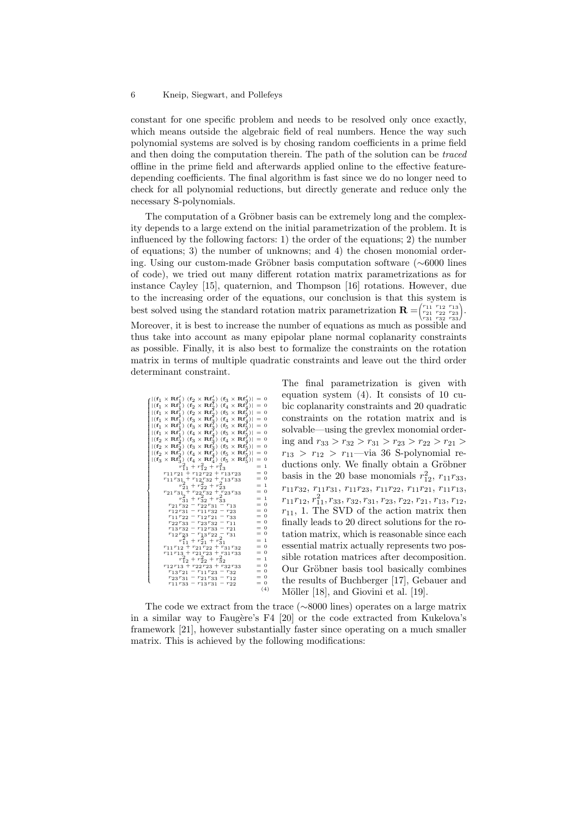constant for one specific problem and needs to be resolved only once exactly, which means outside the algebraic field of real numbers. Hence the way such polynomial systems are solved is by chosing random coefficients in a prime field and then doing the computation therein. The path of the solution can be traced offline in the prime field and afterwards applied online to the effective featuredepending coefficients. The final algorithm is fast since we do no longer need to check for all polynomial reductions, but directly generate and reduce only the necessary S-polynomials.

The computation of a Gröbner basis can be extremely long and the complexity depends to a large extend on the initial parametrization of the problem. It is influenced by the following factors: 1) the order of the equations; 2) the number of equations; 3) the number of unknowns; and 4) the chosen monomial ordering. Using our custom-made Gröbner basis computation software (∼6000 lines of code), we tried out many different rotation matrix parametrizations as for instance Cayley [15], quaternion, and Thompson [16] rotations. However, due to the increasing order of the equations, our conclusion is that this system is best solved using the standard rotation matrix parametrization  $\mathbf{R} = ($  $\begin{pmatrix} r_{11} & r_{12} & r_{13} \ r_{21} & r_{22} & r_{23} \ r_{31} & r_{32} & r_{33} \end{pmatrix}$  $\bigg).$ Moreover, it is best to increase the number of equations as much as possible and thus take into account as many epipolar plane normal coplanarity constraints as possible. Finally, it is also best to formalize the constraints on the rotation matrix in terms of multiple quadratic constraints and leave out the third order determinant constraint.

| $\mathbf{f}( \mathbf{f}_1 \times \mathbf{R} \mathbf{f}'_1 )$ $(\mathbf{f}_2 \times \mathbf{R} \mathbf{f}'_2)$ $(\mathbf{f}_3 \times \mathbf{R} \mathbf{f}'_3)  = 0$                                                                                                                                                                                                                                                                                                                                                                                                                                  |       |
|------------------------------------------------------------------------------------------------------------------------------------------------------------------------------------------------------------------------------------------------------------------------------------------------------------------------------------------------------------------------------------------------------------------------------------------------------------------------------------------------------------------------------------------------------------------------------------------------------|-------|
|                                                                                                                                                                                                                                                                                                                                                                                                                                                                                                                                                                                                      |       |
| $ (\mathbf{f}_1 \times \mathbf{R} \mathbf{f}_1^{\dagger}) (\mathbf{f}_2 \times \mathbf{R} \mathbf{f}_2^{\dagger}) (\mathbf{f}_4 \times \mathbf{R} \mathbf{f}_4^{\dagger})  = 0$<br>$ (\mathbf{f}_1 \times \mathbf{R} \mathbf{f}_1^{\dagger}) (\mathbf{f}_2 \times \mathbf{R} \mathbf{f}_2^{\dagger}) (\mathbf{f}_5 \times \mathbf{R} \mathbf{f}_5^{\dagger})  = 0$                                                                                                                                                                                                                                   |       |
|                                                                                                                                                                                                                                                                                                                                                                                                                                                                                                                                                                                                      |       |
| (f <sub>1</sub> × Rf <sub>1</sub> <sup>2</sup> ) (f <sub>3</sub> × Rf <sub>2</sub> <sup>2</sup> ) (f <sub>4</sub> × Rf <sub>4</sub> <sup>2</sup> )] = 0<br>(f <sub>1</sub> × Rf <sub>1</sub> <sup>2</sup> ) (f <sub>3</sub> × Rf <sub>2</sub> <sup>5</sup> ) (f <sub>5</sub> × Rf <sub>5</sub> <sup>2</sup> )] = 0<br>(f <sub>1</sub> × Rf <sub>1</sub> <sup>2</sup> ) (f <sub>4</sub> × Rf <sub>4</sub> <sup>2</sup> ) (f <sub>5</sub> × Rf <sub>5</sub> <sup>5</sup> )] = 0<br>(f <sub>2</sub> × Rf <sub>2</sub> <sup>2</sup> ) (f <sub>3</sub> × Rf <sub>3</sub> <sup>5</sup> ) (f <sub>4</sub> × |       |
|                                                                                                                                                                                                                                                                                                                                                                                                                                                                                                                                                                                                      |       |
|                                                                                                                                                                                                                                                                                                                                                                                                                                                                                                                                                                                                      |       |
|                                                                                                                                                                                                                                                                                                                                                                                                                                                                                                                                                                                                      |       |
| $ ({\bf f}_2 \times {\bf R}{\bf f}_2^7) ({\bf f}_3 \times {\bf R}{\bf f}_3^7) ({\bf f}_5 \times {\bf R}{\bf f}_5^7)  = 0$                                                                                                                                                                                                                                                                                                                                                                                                                                                                            |       |
| $ ({\bf f}_2 \times {\bf R}{\bf f}_2^T)$ $({\bf f}_4 \times {\bf R}{\bf f}_4^T)$ $({\bf f}_5 \times {\bf R}{\bf f}_5^T)  = 0$                                                                                                                                                                                                                                                                                                                                                                                                                                                                        |       |
| $ ({\bf f}_3 \times {\bf R}{\bf f}_3^7)$ $({\bf f}_4 \times {\bf R}{\bf f}_4^7)$ $({\bf f}_5 \times {\bf R}{\bf f}_5^7)  = 0$                                                                                                                                                                                                                                                                                                                                                                                                                                                                        |       |
| $r_{11}^2 + r_{12}^2 + r_{13}^2$                                                                                                                                                                                                                                                                                                                                                                                                                                                                                                                                                                     | $= 1$ |
| $r_{11}r_{21} + r_{12}r_{22} + r_{13}r_{23}$                                                                                                                                                                                                                                                                                                                                                                                                                                                                                                                                                         | $= 0$ |
| $r_{11}r_{31} + r_{12}r_{32} + r_{13}r_{33}$                                                                                                                                                                                                                                                                                                                                                                                                                                                                                                                                                         | $= 0$ |
| $r_{21}^2 + r_{22}^2 + r_{23}^2$                                                                                                                                                                                                                                                                                                                                                                                                                                                                                                                                                                     | $= 1$ |
| $r_{21}r_{31} + r_{22}r_{32} + r_{23}r_{33}$                                                                                                                                                                                                                                                                                                                                                                                                                                                                                                                                                         | $= 0$ |
| $r_{31}^2 + r_{32}^2 + r_{33}^2$                                                                                                                                                                                                                                                                                                                                                                                                                                                                                                                                                                     | $= 1$ |
| $r_{21}r_{32} - r_{22}r_{31} - r_{13}$                                                                                                                                                                                                                                                                                                                                                                                                                                                                                                                                                               | $= 0$ |
| $r_{12}r_{31} - r_{11}r_{32} - r_{23}$                                                                                                                                                                                                                                                                                                                                                                                                                                                                                                                                                               | $= 0$ |
| $r_{11}r_{22} - r_{12}r_{21} - r_{33}$                                                                                                                                                                                                                                                                                                                                                                                                                                                                                                                                                               | $= 0$ |
| $r_{22}r_{33} - r_{23}r_{32} - r_{11}$                                                                                                                                                                                                                                                                                                                                                                                                                                                                                                                                                               | $= 0$ |
| $r_{13}r_{32} - r_{12}r_{33} - r_{21}$                                                                                                                                                                                                                                                                                                                                                                                                                                                                                                                                                               | $= 0$ |
| $r_{12}r_{23} - r_{13}r_{22} - r_{31}$                                                                                                                                                                                                                                                                                                                                                                                                                                                                                                                                                               | $= 0$ |
| $r_{11}^2 + r_{21}^2 + r_{31}^2$                                                                                                                                                                                                                                                                                                                                                                                                                                                                                                                                                                     | $= 1$ |
| $r_{11}r_{12} + r_{21}r_{22} + r_{31}r_{32}$                                                                                                                                                                                                                                                                                                                                                                                                                                                                                                                                                         | $= 0$ |
| $r_{11}r_{13} + r_{21}r_{23} + r_{31}r_{33}$                                                                                                                                                                                                                                                                                                                                                                                                                                                                                                                                                         | $= 0$ |
| $r_{12}^2 + r_{22}^2 + r_{32}^2$                                                                                                                                                                                                                                                                                                                                                                                                                                                                                                                                                                     | $= 1$ |
| $r_{12}r_{13} + r_{22}r_{23} + r_{32}r_{33}$                                                                                                                                                                                                                                                                                                                                                                                                                                                                                                                                                         | $= 0$ |
| $r_{13}r_{21} - r_{11}r_{23} - r_{32}$                                                                                                                                                                                                                                                                                                                                                                                                                                                                                                                                                               | $= 0$ |
| $r_{23} r_{31} - r_{21} r_{33} - r_{12} \label{eq:31}$                                                                                                                                                                                                                                                                                                                                                                                                                                                                                                                                               | $= 0$ |
| $r_{11}r_{33} - r_{13}r_{31} - r_{22}$                                                                                                                                                                                                                                                                                                                                                                                                                                                                                                                                                               | $= 0$ |
|                                                                                                                                                                                                                                                                                                                                                                                                                                                                                                                                                                                                      | (4)   |

The final parametrization is given with equation system (4). It consists of 10 cubic coplanarity constraints and 20 quadratic constraints on the rotation matrix and is solvable—using the grevlex monomial ordering and  $r_{33} > r_{32} > r_{31} > r_{23} > r_{22} > r_{21} >$  $r_{13} > r_{12} > r_{11}$ —via 36 S-polynomial reductions only. We finally obtain a Gröbner basis in the 20 base monomials  $r_{12}^2$ ,  $r_{11}r_{33}$ ,  $r_{11}r_{32}, r_{11}r_{31}, r_{11}r_{23}, r_{11}r_{22}, r_{11}r_{21}, r_{11}r_{13},$  $r_{11}r_{12}, r_{11}^2, r_{33}, r_{32}, r_{31}, r_{23}, r_{22}, r_{21}, r_{13}, r_{12},$  $r_{11}$ , 1. The SVD of the action matrix then finally leads to 20 direct solutions for the rotation matrix, which is reasonable since each essential matrix actually represents two possible rotation matrices after decomposition. Our Gröbner basis tool basically combines the results of Buchberger [17], Gebauer and Möller [18], and Giovini et al. [19].

The code we extract from the trace (∼8000 lines) operates on a large matrix in a similar way to Faugère's  $F4$  [20] or the code extracted from Kukelova's framework [21], however substantially faster since operating on a much smaller matrix. This is achieved by the following modifications: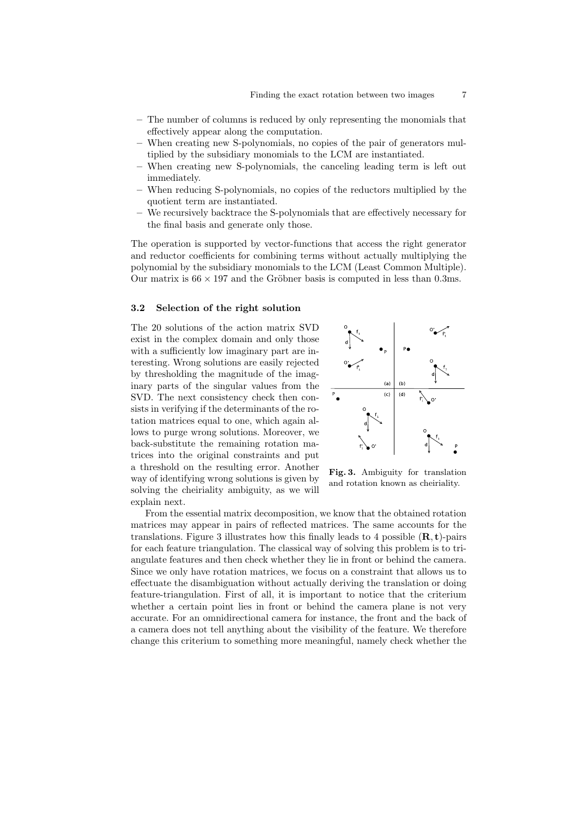- The number of columns is reduced by only representing the monomials that effectively appear along the computation.
- When creating new S-polynomials, no copies of the pair of generators multiplied by the subsidiary monomials to the LCM are instantiated.
- When creating new S-polynomials, the canceling leading term is left out immediately.
- When reducing S-polynomials, no copies of the reductors multiplied by the quotient term are instantiated.
- We recursively backtrace the S-polynomials that are effectively necessary for the final basis and generate only those.

The operation is supported by vector-functions that access the right generator and reductor coefficients for combining terms without actually multiplying the polynomial by the subsidiary monomials to the LCM (Least Common Multiple). Our matrix is  $66 \times 197$  and the Gröbner basis is computed in less than 0.3ms.

## 3.2 Selection of the right solution

The 20 solutions of the action matrix SVD exist in the complex domain and only those with a sufficiently low imaginary part are interesting. Wrong solutions are easily rejected by thresholding the magnitude of the imaginary parts of the singular values from the SVD. The next consistency check then consists in verifying if the determinants of the rotation matrices equal to one, which again allows to purge wrong solutions. Moreover, we back-substitute the remaining rotation matrices into the original constraints and put a threshold on the resulting error. Another way of identifying wrong solutions is given by solving the cheiriality ambiguity, as we will explain next.



Fig. 3. Ambiguity for translation and rotation known as cheiriality.

From the essential matrix decomposition, we know that the obtained rotation matrices may appear in pairs of reflected matrices. The same accounts for the translations. Figure 3 illustrates how this finally leads to 4 possible  $(\mathbf{R}, \mathbf{t})$ -pairs for each feature triangulation. The classical way of solving this problem is to triangulate features and then check whether they lie in front or behind the camera. Since we only have rotation matrices, we focus on a constraint that allows us to effectuate the disambiguation without actually deriving the translation or doing feature-triangulation. First of all, it is important to notice that the criterium whether a certain point lies in front or behind the camera plane is not very accurate. For an omnidirectional camera for instance, the front and the back of a camera does not tell anything about the visibility of the feature. We therefore change this criterium to something more meaningful, namely check whether the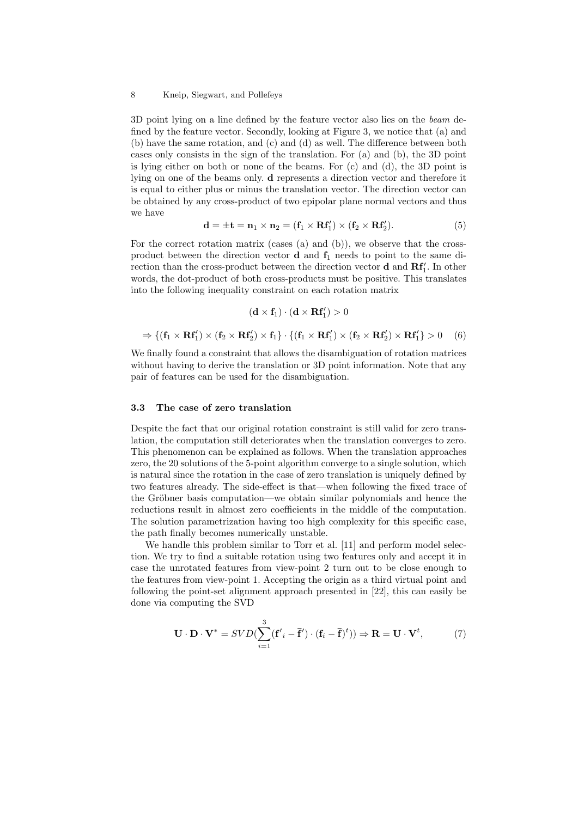3D point lying on a line defined by the feature vector also lies on the beam defined by the feature vector. Secondly, looking at Figure 3, we notice that (a) and (b) have the same rotation, and (c) and (d) as well. The difference between both cases only consists in the sign of the translation. For (a) and (b), the 3D point is lying either on both or none of the beams. For (c) and (d), the 3D point is lying on one of the beams only. d represents a direction vector and therefore it is equal to either plus or minus the translation vector. The direction vector can be obtained by any cross-product of two epipolar plane normal vectors and thus we have

$$
\mathbf{d} = \pm \mathbf{t} = \mathbf{n}_1 \times \mathbf{n}_2 = (\mathbf{f}_1 \times \mathbf{R} \mathbf{f}'_1) \times (\mathbf{f}_2 \times \mathbf{R} \mathbf{f}'_2). \tag{5}
$$

For the correct rotation matrix (cases (a) and (b)), we observe that the crossproduct between the direction vector **d** and  $f_1$  needs to point to the same direction than the cross-product between the direction vector **d** and  $\mathbf{Rf}'_1$ . In other words, the dot-product of both cross-products must be positive. This translates into the following inequality constraint on each rotation matrix

$$
(\mathbf{d}\times\mathbf{f}_1)\cdot(\mathbf{d}\times\mathbf{R}\mathbf{f}_1')>0
$$

$$
\Rightarrow \{( \mathbf{f}_1 \times \mathbf{R} \mathbf{f}_1^\prime ) \times ( \mathbf{f}_2 \times \mathbf{R} \mathbf{f}_2^\prime ) \times \mathbf{f}_1 \} \cdot \{( \mathbf{f}_1 \times \mathbf{R} \mathbf{f}_1^\prime ) \times ( \mathbf{f}_2 \times \mathbf{R} \mathbf{f}_2^\prime ) \times \mathbf{R} \mathbf{f}_1^\prime \} > 0 \quad (6)
$$

We finally found a constraint that allows the disambiguation of rotation matrices without having to derive the translation or 3D point information. Note that any pair of features can be used for the disambiguation.

#### 3.3 The case of zero translation

Despite the fact that our original rotation constraint is still valid for zero translation, the computation still deteriorates when the translation converges to zero. This phenomenon can be explained as follows. When the translation approaches zero, the 20 solutions of the 5-point algorithm converge to a single solution, which is natural since the rotation in the case of zero translation is uniquely defined by two features already. The side-effect is that—when following the fixed trace of the Gröbner basis computation—we obtain similar polynomials and hence the reductions result in almost zero coefficients in the middle of the computation. The solution parametrization having too high complexity for this specific case, the path finally becomes numerically unstable.

We handle this problem similar to Torr et al. [11] and perform model selection. We try to find a suitable rotation using two features only and accept it in case the unrotated features from view-point 2 turn out to be close enough to the features from view-point 1. Accepting the origin as a third virtual point and following the point-set alignment approach presented in [22], this can easily be done via computing the SVD

$$
\mathbf{U} \cdot \mathbf{D} \cdot \mathbf{V}^* = SVD(\sum_{i=1}^3 (\mathbf{f}'_i - \overline{\mathbf{f}}') \cdot (\mathbf{f}_i - \overline{\mathbf{f}})^t)) \Rightarrow \mathbf{R} = \mathbf{U} \cdot \mathbf{V}^t,
$$
 (7)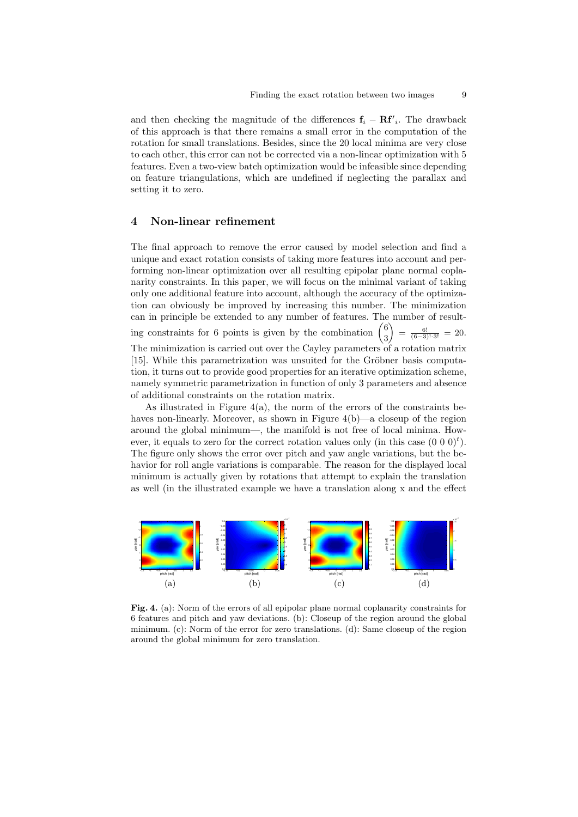and then checking the magnitude of the differences  $f_i - Rf'_i$ . The drawback of this approach is that there remains a small error in the computation of the rotation for small translations. Besides, since the 20 local minima are very close to each other, this error can not be corrected via a non-linear optimization with 5 features. Even a two-view batch optimization would be infeasible since depending on feature triangulations, which are undefined if neglecting the parallax and setting it to zero.

## 4 Non-linear refinement

The final approach to remove the error caused by model selection and find a unique and exact rotation consists of taking more features into account and performing non-linear optimization over all resulting epipolar plane normal coplanarity constraints. In this paper, we will focus on the minimal variant of taking only one additional feature into account, although the accuracy of the optimization can obviously be improved by increasing this number. The minimization can in principle be extended to any number of features. The number of resulting constraints for 6 points is given by the combination  $\begin{pmatrix} 6 \\ 2 \end{pmatrix}$ 3  $\bigg| \bigg) = \frac{6!}{(6-3)! \cdot 3!} = 20.$ The minimization is carried out over the Cayley parameters of a rotation matrix [15]. While this parametrization was unsuited for the Gröbner basis computation, it turns out to provide good properties for an iterative optimization scheme, namely symmetric parametrization in function of only 3 parameters and absence of additional constraints on the rotation matrix.

As illustrated in Figure  $4(a)$ , the norm of the errors of the constraints behaves non-linearly. Moreover, as shown in Figure 4(b)—a closeup of the region around the global minimum—, the manifold is not free of local minima. However, it equals to zero for the correct rotation values only (in this case  $(0\ 0\ 0)^t$ ). The figure only shows the error over pitch and yaw angle variations, but the behavior for roll angle variations is comparable. The reason for the displayed local minimum is actually given by rotations that attempt to explain the translation as well (in the illustrated example we have a translation along x and the effect



Fig. 4. (a): Norm of the errors of all epipolar plane normal coplanarity constraints for 6 features and pitch and yaw deviations. (b): Closeup of the region around the global minimum. (c): Norm of the error for zero translations. (d): Same closeup of the region around the global minimum for zero translation.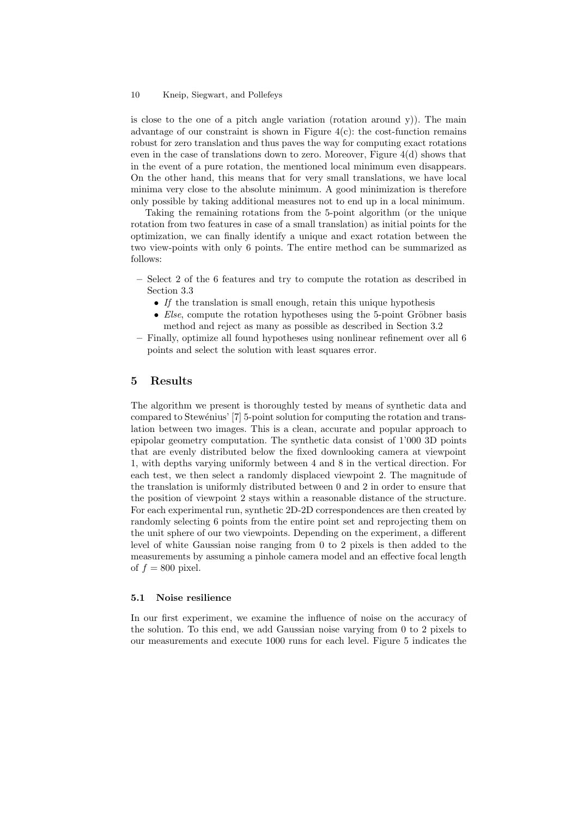is close to the one of a pitch angle variation (rotation around y)). The main advantage of our constraint is shown in Figure  $4(c)$ : the cost-function remains robust for zero translation and thus paves the way for computing exact rotations even in the case of translations down to zero. Moreover, Figure  $4(d)$  shows that in the event of a pure rotation, the mentioned local minimum even disappears. On the other hand, this means that for very small translations, we have local minima very close to the absolute minimum. A good minimization is therefore only possible by taking additional measures not to end up in a local minimum.

Taking the remaining rotations from the 5-point algorithm (or the unique rotation from two features in case of a small translation) as initial points for the optimization, we can finally identify a unique and exact rotation between the two view-points with only 6 points. The entire method can be summarized as follows:

- Select 2 of the 6 features and try to compute the rotation as described in Section 3.3
	- If the translation is small enough, retain this unique hypothesis
	- Else, compute the rotation hypotheses using the 5-point Gröbner basis method and reject as many as possible as described in Section 3.2
- Finally, optimize all found hypotheses using nonlinear refinement over all 6 points and select the solution with least squares error.

## 5 Results

The algorithm we present is thoroughly tested by means of synthetic data and compared to Stewénius' [7] 5-point solution for computing the rotation and translation between two images. This is a clean, accurate and popular approach to epipolar geometry computation. The synthetic data consist of 1'000 3D points that are evenly distributed below the fixed downlooking camera at viewpoint 1, with depths varying uniformly between 4 and 8 in the vertical direction. For each test, we then select a randomly displaced viewpoint 2. The magnitude of the translation is uniformly distributed between 0 and 2 in order to ensure that the position of viewpoint 2 stays within a reasonable distance of the structure. For each experimental run, synthetic 2D-2D correspondences are then created by randomly selecting 6 points from the entire point set and reprojecting them on the unit sphere of our two viewpoints. Depending on the experiment, a different level of white Gaussian noise ranging from 0 to 2 pixels is then added to the measurements by assuming a pinhole camera model and an effective focal length of  $f = 800$  pixel.

## 5.1 Noise resilience

In our first experiment, we examine the influence of noise on the accuracy of the solution. To this end, we add Gaussian noise varying from 0 to 2 pixels to our measurements and execute 1000 runs for each level. Figure 5 indicates the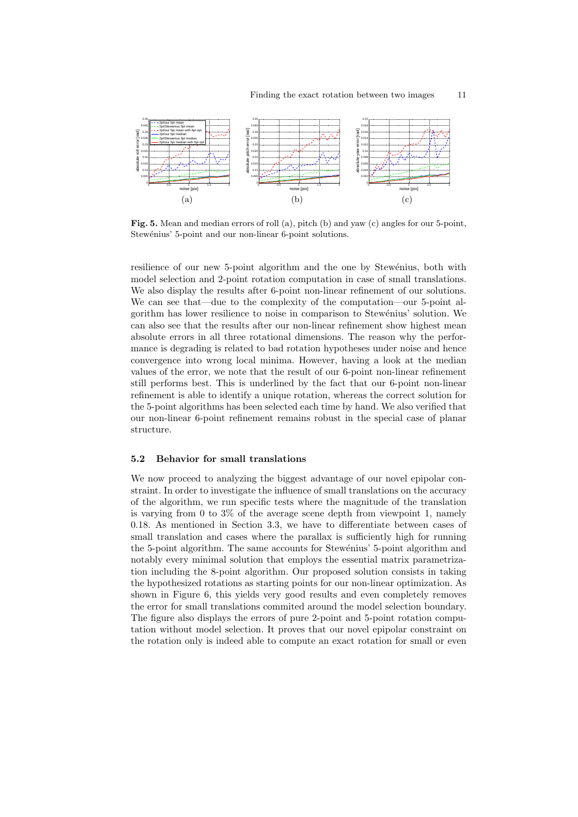

Fig. 5. Mean and median errors of roll (a), pitch (b) and yaw (c) angles for our 5-point, Stewénius' 5-point and our non-linear 6-point solutions.

resilience of our new 5-point algorithm and the one by Stewénius, both with model selection and 2-point rotation computation in case of small translations. We also display the results after 6-point non-linear refinement of our solutions. We can see that—due to the complexity of the computation—our 5-point algorithm has lower resilience to noise in comparison to Stew´enius' solution. We can also see that the results after our non-linear refinement show highest mean absolute errors in all three rotational dimensions. The reason why the performance is degrading is related to bad rotation hypotheses under noise and hence convergence into wrong local minima. However, having a look at the median values of the error, we note that the result of our 6-point non-linear refinement still performs best. This is underlined by the fact that our 6-point non-linear refinement is able to identify a unique rotation, whereas the correct solution for the 5-point algorithms has been selected each time by hand. We also verified that our non-linear 6-point refinement remains robust in the special case of planar structure.

#### 5.2 Behavior for small translations

We now proceed to analyzing the biggest advantage of our novel epipolar constraint. In order to investigate the influence of small translations on the accuracy of the algorithm, we run specific tests where the magnitude of the translation is varying from 0 to 3% of the average scene depth from viewpoint 1, namely 0.18. As mentioned in Section 3.3, we have to differentiate between cases of small translation and cases where the parallax is sufficiently high for running the 5-point algorithm. The same accounts for Stewenius' 5-point algorithm and notably every minimal solution that employs the essential matrix parametrization including the 8-point algorithm. Our proposed solution consists in taking the hypothesized rotations as starting points for our non-linear optimization. As shown in Figure 6, this yields very good results and even completely removes the error for small translations commited around the model selection boundary. The figure also displays the errors of pure 2-point and 5-point rotation computation without model selection. It proves that our novel epipolar constraint on the rotation only is indeed able to compute an exact rotation for small or even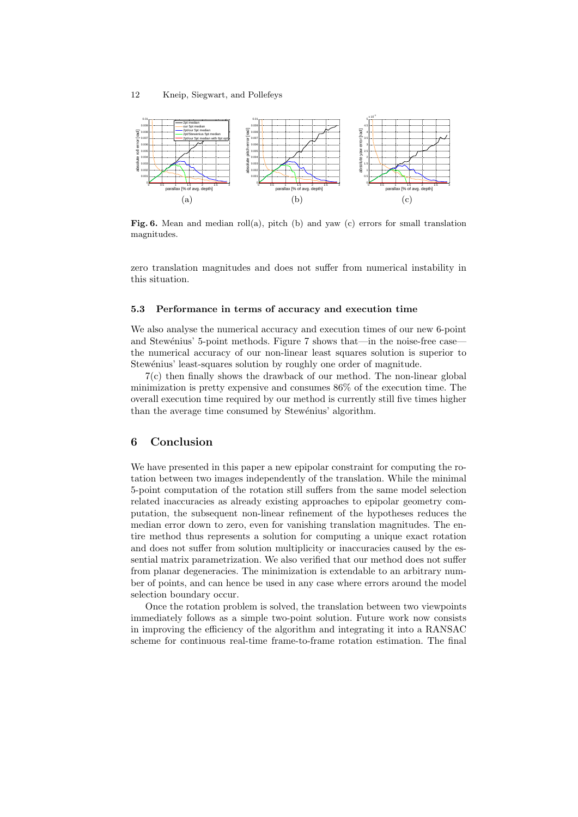

Fig. 6. Mean and median roll(a), pitch (b) and yaw (c) errors for small translation magnitudes.

zero translation magnitudes and does not suffer from numerical instability in this situation.

#### 5.3 Performance in terms of accuracy and execution time

We also analyse the numerical accuracy and execution times of our new 6-point and Stewénius' 5-point methods. Figure 7 shows that—in the noise-free casethe numerical accuracy of our non-linear least squares solution is superior to Stewénius' least-squares solution by roughly one order of magnitude.

7(c) then finally shows the drawback of our method. The non-linear global minimization is pretty expensive and consumes 86% of the execution time. The overall execution time required by our method is currently still five times higher than the average time consumed by Stewénius' algorithm.

## 6 Conclusion

We have presented in this paper a new epipolar constraint for computing the rotation between two images independently of the translation. While the minimal 5-point computation of the rotation still suffers from the same model selection related inaccuracies as already existing approaches to epipolar geometry computation, the subsequent non-linear refinement of the hypotheses reduces the median error down to zero, even for vanishing translation magnitudes. The entire method thus represents a solution for computing a unique exact rotation and does not suffer from solution multiplicity or inaccuracies caused by the essential matrix parametrization. We also verified that our method does not suffer from planar degeneracies. The minimization is extendable to an arbitrary number of points, and can hence be used in any case where errors around the model selection boundary occur.

Once the rotation problem is solved, the translation between two viewpoints immediately follows as a simple two-point solution. Future work now consists in improving the efficiency of the algorithm and integrating it into a RANSAC scheme for continuous real-time frame-to-frame rotation estimation. The final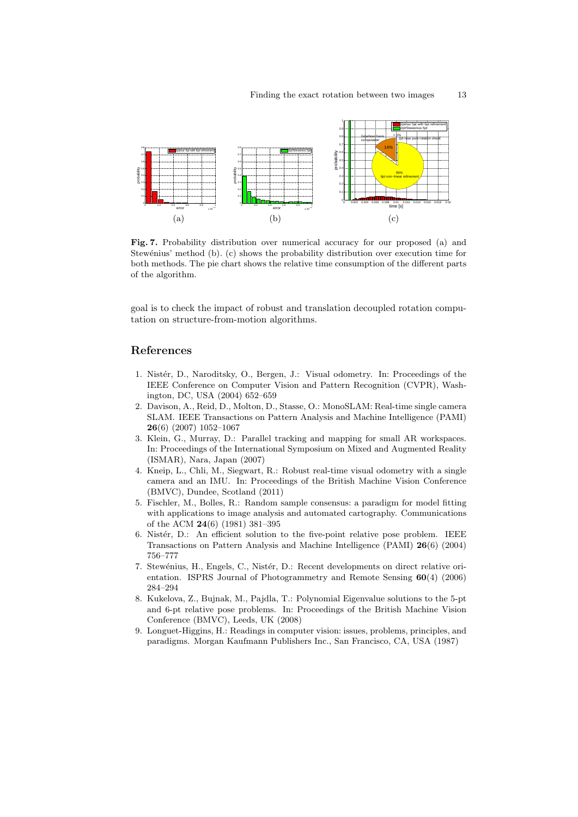

Fig. 7. Probability distribution over numerical accuracy for our proposed (a) and Stewénius' method (b). (c) shows the probability distribution over execution time for both methods. The pie chart shows the relative time consumption of the different parts of the algorithm.

goal is to check the impact of robust and translation decoupled rotation computation on structure-from-motion algorithms.

## References

- 1. Nistér, D., Naroditsky, O., Bergen, J.: Visual odometry. In: Proceedings of the IEEE Conference on Computer Vision and Pattern Recognition (CVPR), Washington, DC, USA (2004) 652–659
- 2. Davison, A., Reid, D., Molton, D., Stasse, O.: MonoSLAM: Real-time single camera SLAM. IEEE Transactions on Pattern Analysis and Machine Intelligence (PAMI) 26(6) (2007) 1052–1067
- 3. Klein, G., Murray, D.: Parallel tracking and mapping for small AR workspaces. In: Proceedings of the International Symposium on Mixed and Augmented Reality (ISMAR), Nara, Japan (2007)
- 4. Kneip, L., Chli, M., Siegwart, R.: Robust real-time visual odometry with a single camera and an IMU. In: Proceedings of the British Machine Vision Conference (BMVC), Dundee, Scotland (2011)
- 5. Fischler, M., Bolles, R.: Random sample consensus: a paradigm for model fitting with applications to image analysis and automated cartography. Communications of the ACM 24(6) (1981) 381–395
- 6. Nistér, D.: An efficient solution to the five-point relative pose problem. IEEE Transactions on Pattern Analysis and Machine Intelligence (PAMI) 26(6) (2004) 756–777
- 7. Stewénius, H., Engels, C., Nistér, D.: Recent developments on direct relative orientation. ISPRS Journal of Photogrammetry and Remote Sensing 60(4) (2006) 284–294
- 8. Kukelova, Z., Bujnak, M., Pajdla, T.: Polynomial Eigenvalue solutions to the 5-pt and 6-pt relative pose problems. In: Proceedings of the British Machine Vision Conference (BMVC), Leeds, UK (2008)
- 9. Longuet-Higgins, H.: Readings in computer vision: issues, problems, principles, and paradigms. Morgan Kaufmann Publishers Inc., San Francisco, CA, USA (1987)